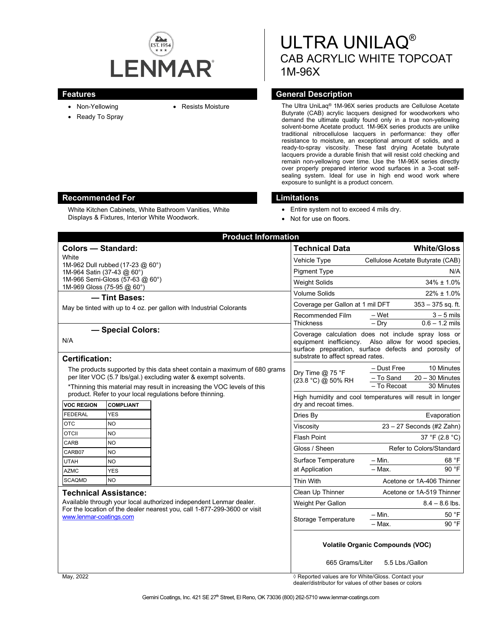

- Non-Yellowing
- Ready To Spray
- 

ULTRA UNILAQ® CAB ACRYLIC WHITE TOPCOAT 1M-96X

### **Features General Description**

• Resists Moisture The Ultra UniLaq® 1M-96X series products are Cellulose Acetate Butyrate (CAB) acrylic lacquers designed for woodworkers who demand the ultimate quality found only in a true non-yellowing solvent-borne Acetate product. 1M-96X series products are unlike traditional nitrocellulose lacquers in performance: they offer resistance to moisture, an exceptional amount of solids, and a ready-to-spray viscosity. These fast drying Acetate butyrate lacquers provide a durable finish that will resist cold checking and remain non-yellowing over time. Use the 1M-96X series directly over properly prepared interior wood surfaces in a 3-coat selfsealing system. Ideal for use in high end wood work where exposure to sunlight is a product concern.

### **Recommended For Limitations**

White Kitchen Cabinets, White Bathroom Vanities, White Displays & Fixtures, Interior White Woodwork.

- Entire system not to exceed 4 mils dry.
- Not for use on floors.

| <b>Product Information</b>                                                                                                                                                |                                                                                           |
|---------------------------------------------------------------------------------------------------------------------------------------------------------------------------|-------------------------------------------------------------------------------------------|
| <b>Colors - Standard:</b>                                                                                                                                                 | <b>Technical Data</b><br><b>White/Gloss</b>                                               |
| White<br>1M-962 Dull rubbed (17-23 @ 60°)<br>1M-964 Satin (37-43 @ 60°)                                                                                                   | Vehicle Type<br>Cellulose Acetate Butyrate (CAB)                                          |
|                                                                                                                                                                           | <b>Pigment Type</b><br>N/A                                                                |
| 1M-966 Semi-Gloss (57-63 @ 60°)                                                                                                                                           | $34\% \pm 1.0\%$<br><b>Weight Solids</b>                                                  |
| 1M-969 Gloss (75-95 @ 60°)<br>- Tint Bases:<br>May be tinted with up to 4 oz. per gallon with Industrial Colorants                                                        | <b>Volume Solids</b><br>$22\% \pm 1.0\%$                                                  |
|                                                                                                                                                                           | Coverage per Gallon at 1 mil DFT<br>$353 - 375$ sq. ft.                                   |
|                                                                                                                                                                           | Recommended Film<br>$-Wet$<br>$3 - 5$ mils                                                |
|                                                                                                                                                                           | $-$ Dry<br>$0.6 - 1.2$ mils<br><b>Thickness</b>                                           |
| - Special Colors:                                                                                                                                                         | Coverage calculation does not include spray loss or                                       |
| N/A                                                                                                                                                                       | equipment inefficiency. Also allow for wood species,                                      |
|                                                                                                                                                                           | surface preparation, surface defects and porosity of<br>substrate to affect spread rates. |
| <b>Certification:</b>                                                                                                                                                     |                                                                                           |
| The products supported by this data sheet contain a maximum of 680 grams<br>per liter VOC (5.7 lbs/gal.) excluding water & exempt solvents.                               | - Dust Free<br>10 Minutes<br>Dry Time @ 75 °F<br>- To Sand<br>$20 - 30$ Minutes           |
| *Thinning this material may result in increasing the VOC levels of this                                                                                                   | (23.8 °C) @ 50% RH<br>- To Recoat<br>30 Minutes                                           |
| product. Refer to your local regulations before thinning.                                                                                                                 | High humidity and cool temperatures will result in longer                                 |
| <b>VOC REGION</b><br><b>COMPLIANT</b>                                                                                                                                     | dry and recoat times.                                                                     |
| <b>FEDERAL</b><br><b>YES</b>                                                                                                                                              | Dries By<br>Evaporation                                                                   |
| <b>OTC</b><br>N <sub>O</sub>                                                                                                                                              | 23 - 27 Seconds (#2 Zahn)<br>Viscosity                                                    |
| <b>OTCII</b><br><b>NO</b>                                                                                                                                                 | Flash Point<br>37 °F (2.8 °C)                                                             |
| CARB<br><b>NO</b><br>CARB07<br><b>NO</b><br>N <sub>O</sub><br><b>UTAH</b><br>YES<br><b>AZMC</b>                                                                           | Refer to Colors/Standard<br>Gloss / Sheen                                                 |
|                                                                                                                                                                           | $- Min.$<br>68 °F<br>Surface Temperature                                                  |
|                                                                                                                                                                           | 90 °F<br>$-$ Max.<br>at Application                                                       |
| <b>SCAQMD</b><br><b>NO</b>                                                                                                                                                | Thin With<br>Acetone or 1A-406 Thinner                                                    |
| <b>Technical Assistance:</b>                                                                                                                                              | Clean Up Thinner<br>Acetone or 1A-519 Thinner                                             |
| Available through your local authorized independent Lenmar dealer.<br>For the location of the dealer nearest you, call 1-877-299-3600 or visit<br>www.lenmar-coatings.com | Weight Per Gallon<br>$8.4 - 8.6$ lbs.                                                     |
|                                                                                                                                                                           |                                                                                           |
|                                                                                                                                                                           | 50 °F<br>$- Min.$<br>Storage Temperature<br>90 °F<br>– Мах.                               |
|                                                                                                                                                                           |                                                                                           |
|                                                                                                                                                                           |                                                                                           |
|                                                                                                                                                                           | <b>Volatile Organic Compounds (VOC)</b>                                                   |
|                                                                                                                                                                           | 665 Grams/Liter<br>5.5 Lbs./Gallon                                                        |

May, 2022 *Allengers*  $\theta$  Reported values are for White/Gloss. Contact your dealer/distributor for values of other bases or colors